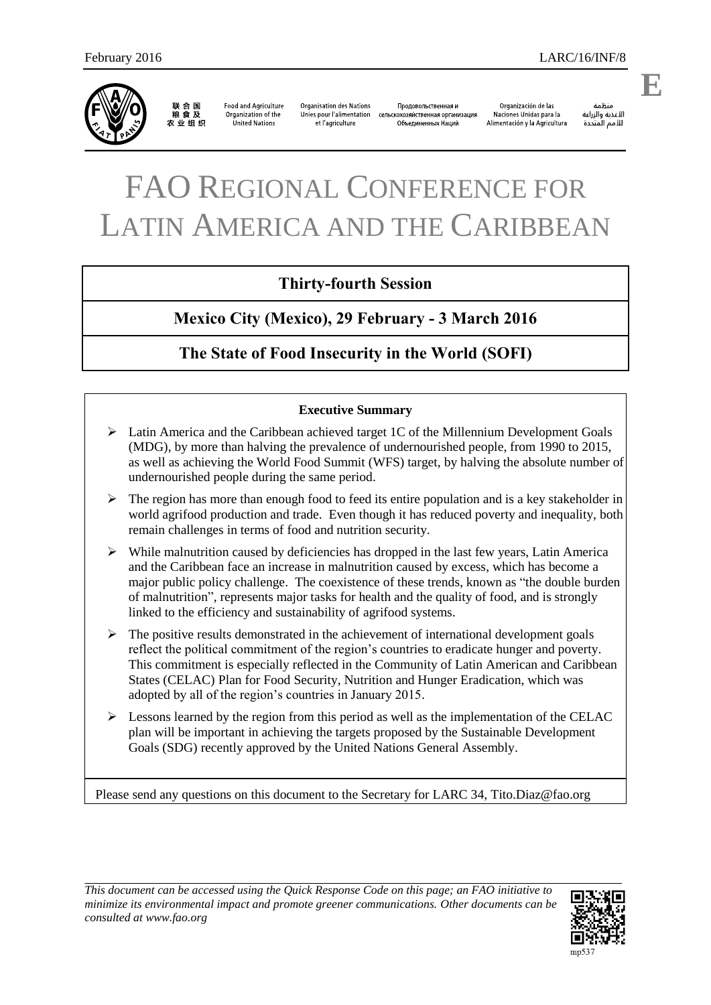

联合国<br>粮食及 农业组织

**Food and Agriculture** Organization of the United Nations

**Organisation des Nations** Продовольственная и Unies pour l'alimentation сельскохозяйственная организация et l'agriculture Объединенных Наций

Organización de las Naciones Unidas para la Alimentación y la Agricultura

änhin الأغذية والزراعة للأمم المتحدة

# FAO REGIONAL CONFERENCE FOR LATIN AMERICA AND THE CARIBBEAN

## **Thirty-fourth Session**

## **Mexico City (Mexico), 29 February - 3 March 2016**

## **The State of Food Insecurity in the World (SOFI)**

#### **Executive Summary**

- $\triangleright$  Latin America and the Caribbean achieved target 1C of the Millennium Development Goals (MDG), by more than halving the prevalence of undernourished people, from 1990 to 2015, as well as achieving the World Food Summit (WFS) target, by halving the absolute number of undernourished people during the same period.
- $\triangleright$  The region has more than enough food to feed its entire population and is a key stakeholder in world agrifood production and trade. Even though it has reduced poverty and inequality, both remain challenges in terms of food and nutrition security.
- $\triangleright$  While malnutrition caused by deficiencies has dropped in the last few years, Latin America and the Caribbean face an increase in malnutrition caused by excess, which has become a major public policy challenge. The coexistence of these trends, known as "the double burden of malnutrition", represents major tasks for health and the quality of food, and is strongly linked to the efficiency and sustainability of agrifood systems.
- $\triangleright$  The positive results demonstrated in the achievement of international development goals reflect the political commitment of the region's countries to eradicate hunger and poverty. This commitment is especially reflected in the Community of Latin American and Caribbean States (CELAC) Plan for Food Security, Nutrition and Hunger Eradication, which was adopted by all of the region's countries in January 2015.
- $\triangleright$  Lessons learned by the region from this period as well as the implementation of the CELAC plan will be important in achieving the targets proposed by the Sustainable Development Goals (SDG) recently approved by the United Nations General Assembly.

Please send any questions on this document to the Secretary for LARC 34, [Tito.Diaz@fao.org](mailto:Tito.Diaz@fao.org)

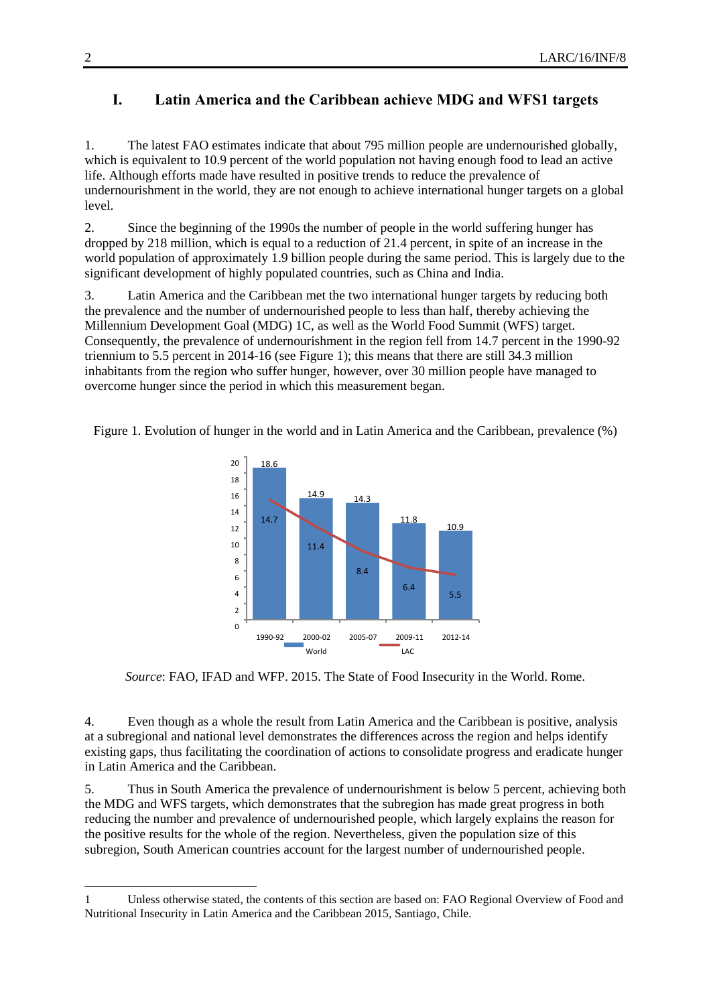### **I. Latin America and the Caribbean achieve MDG and WFS1 targets**

1. The latest FAO estimates indicate that about 795 million people are undernourished globally, which is equivalent to 10.9 percent of the world population not having enough food to lead an active life. Although efforts made have resulted in positive trends to reduce the prevalence of undernourishment in the world, they are not enough to achieve international hunger targets on a global level.

2. Since the beginning of the 1990s the number of people in the world suffering hunger has dropped by 218 million, which is equal to a reduction of 21.4 percent, in spite of an increase in the world population of approximately 1.9 billion people during the same period. This is largely due to the significant development of highly populated countries, such as China and India.

3. Latin America and the Caribbean met the two international hunger targets by reducing both the prevalence and the number of undernourished people to less than half, thereby achieving the Millennium Development Goal (MDG) 1C, as well as the World Food Summit (WFS) target. Consequently, the prevalence of undernourishment in the region fell from 14.7 percent in the 1990-92 triennium to 5.5 percent in 2014-16 (see Figure 1); this means that there are still 34.3 million inhabitants from the region who suffer hunger, however, over 30 million people have managed to overcome hunger since the period in which this measurement began.

Figure 1. Evolution of hunger in the world and in Latin America and the Caribbean, prevalence (%)



*Source*: FAO, IFAD and WFP. 2015. The State of Food Insecurity in the World. Rome.

4. Even though as a whole the result from Latin America and the Caribbean is positive, analysis at a subregional and national level demonstrates the differences across the region and helps identify existing gaps, thus facilitating the coordination of actions to consolidate progress and eradicate hunger in Latin America and the Caribbean.

5. Thus in South America the prevalence of undernourishment is below 5 percent, achieving both the MDG and WFS targets, which demonstrates that the subregion has made great progress in both reducing the number and prevalence of undernourished people, which largely explains the reason for the positive results for the whole of the region. Nevertheless, given the population size of this subregion, South American countries account for the largest number of undernourished people.

l

<sup>1</sup> Unless otherwise stated, the contents of this section are based on: FAO Regional Overview of Food and Nutritional Insecurity in Latin America and the Caribbean 2015, Santiago, Chile.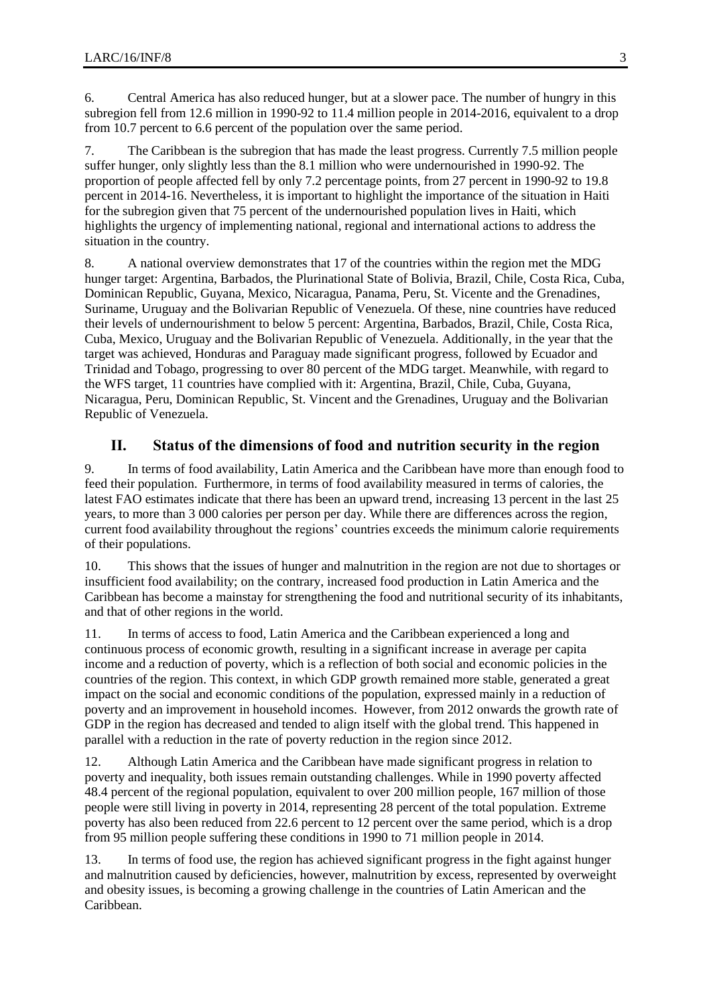6. Central America has also reduced hunger, but at a slower pace. The number of hungry in this subregion fell from 12.6 million in 1990-92 to 11.4 million people in 2014-2016, equivalent to a drop from 10.7 percent to 6.6 percent of the population over the same period.

7. The Caribbean is the subregion that has made the least progress. Currently 7.5 million people suffer hunger, only slightly less than the 8.1 million who were undernourished in 1990-92. The proportion of people affected fell by only 7.2 percentage points, from 27 percent in 1990-92 to 19.8 percent in 2014-16. Nevertheless, it is important to highlight the importance of the situation in Haiti for the subregion given that 75 percent of the undernourished population lives in Haiti, which highlights the urgency of implementing national, regional and international actions to address the situation in the country.

8. A national overview demonstrates that 17 of the countries within the region met the MDG hunger target: Argentina, Barbados, the Plurinational State of Bolivia, Brazil, Chile, Costa Rica, Cuba, Dominican Republic, Guyana, Mexico, Nicaragua, Panama, Peru, St. Vicente and the Grenadines, Suriname, Uruguay and the Bolivarian Republic of Venezuela. Of these, nine countries have reduced their levels of undernourishment to below 5 percent: Argentina, Barbados, Brazil, Chile, Costa Rica, Cuba, Mexico, Uruguay and the Bolivarian Republic of Venezuela. Additionally, in the year that the target was achieved, Honduras and Paraguay made significant progress, followed by Ecuador and Trinidad and Tobago, progressing to over 80 percent of the MDG target. Meanwhile, with regard to the WFS target, 11 countries have complied with it: Argentina, Brazil, Chile, Cuba, Guyana, Nicaragua, Peru, Dominican Republic, St. Vincent and the Grenadines, Uruguay and the Bolivarian Republic of Venezuela.

#### **II. Status of the dimensions of food and nutrition security in the region**

9. In terms of food availability, Latin America and the Caribbean have more than enough food to feed their population. Furthermore, in terms of food availability measured in terms of calories, the latest FAO estimates indicate that there has been an upward trend, increasing 13 percent in the last 25 years, to more than 3 000 calories per person per day. While there are differences across the region, current food availability throughout the regions' countries exceeds the minimum calorie requirements of their populations.

10. This shows that the issues of hunger and malnutrition in the region are not due to shortages or insufficient food availability; on the contrary, increased food production in Latin America and the Caribbean has become a mainstay for strengthening the food and nutritional security of its inhabitants, and that of other regions in the world.

11. In terms of access to food, Latin America and the Caribbean experienced a long and continuous process of economic growth, resulting in a significant increase in average per capita income and a reduction of poverty, which is a reflection of both social and economic policies in the countries of the region. This context, in which GDP growth remained more stable, generated a great impact on the social and economic conditions of the population, expressed mainly in a reduction of poverty and an improvement in household incomes. However, from 2012 onwards the growth rate of GDP in the region has decreased and tended to align itself with the global trend. This happened in parallel with a reduction in the rate of poverty reduction in the region since 2012.

12. Although Latin America and the Caribbean have made significant progress in relation to poverty and inequality, both issues remain outstanding challenges. While in 1990 poverty affected 48.4 percent of the regional population, equivalent to over 200 million people, 167 million of those people were still living in poverty in 2014, representing 28 percent of the total population. Extreme poverty has also been reduced from 22.6 percent to 12 percent over the same period, which is a drop from 95 million people suffering these conditions in 1990 to 71 million people in 2014.

13. In terms of food use, the region has achieved significant progress in the fight against hunger and malnutrition caused by deficiencies, however, malnutrition by excess, represented by overweight and obesity issues, is becoming a growing challenge in the countries of Latin American and the Caribbean.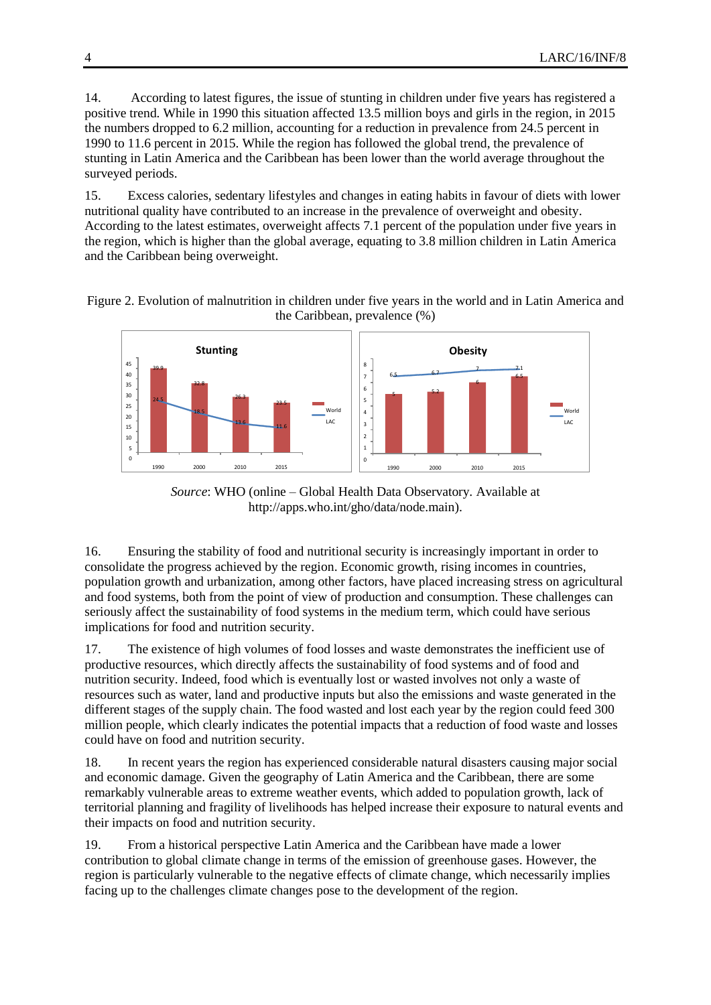14. According to latest figures, the issue of stunting in children under five years has registered a positive trend. While in 1990 this situation affected 13.5 million boys and girls in the region, in 2015 the numbers dropped to 6.2 million, accounting for a reduction in prevalence from 24.5 percent in 1990 to 11.6 percent in 2015. While the region has followed the global trend, the prevalence of stunting in Latin America and the Caribbean has been lower than the world average throughout the surveyed periods.

15. Excess calories, sedentary lifestyles and changes in eating habits in favour of diets with lower nutritional quality have contributed to an increase in the prevalence of overweight and obesity. According to the latest estimates, overweight affects 7.1 percent of the population under five years in the region, which is higher than the global average, equating to 3.8 million children in Latin America and the Caribbean being overweight.





*Source*: WHO (online – Global Health Data Observatory. Available at [http://apps.who.int/gho/data/node.main\)](http://apps.who.int/gho/data/node.main).

16. Ensuring the stability of food and nutritional security is increasingly important in order to consolidate the progress achieved by the region. Economic growth, rising incomes in countries, population growth and urbanization, among other factors, have placed increasing stress on agricultural and food systems, both from the point of view of production and consumption. These challenges can seriously affect the sustainability of food systems in the medium term, which could have serious implications for food and nutrition security.

17. The existence of high volumes of food losses and waste demonstrates the inefficient use of productive resources, which directly affects the sustainability of food systems and of food and nutrition security. Indeed, food which is eventually lost or wasted involves not only a waste of resources such as water, land and productive inputs but also the emissions and waste generated in the different stages of the supply chain. The food wasted and lost each year by the region could feed 300 million people, which clearly indicates the potential impacts that a reduction of food waste and losses could have on food and nutrition security.

18. In recent years the region has experienced considerable natural disasters causing major social and economic damage. Given the geography of Latin America and the Caribbean, there are some remarkably vulnerable areas to extreme weather events, which added to population growth, lack of territorial planning and fragility of livelihoods has helped increase their exposure to natural events and their impacts on food and nutrition security.

19. From a historical perspective Latin America and the Caribbean have made a lower contribution to global climate change in terms of the emission of greenhouse gases. However, the region is particularly vulnerable to the negative effects of climate change, which necessarily implies facing up to the challenges climate changes pose to the development of the region.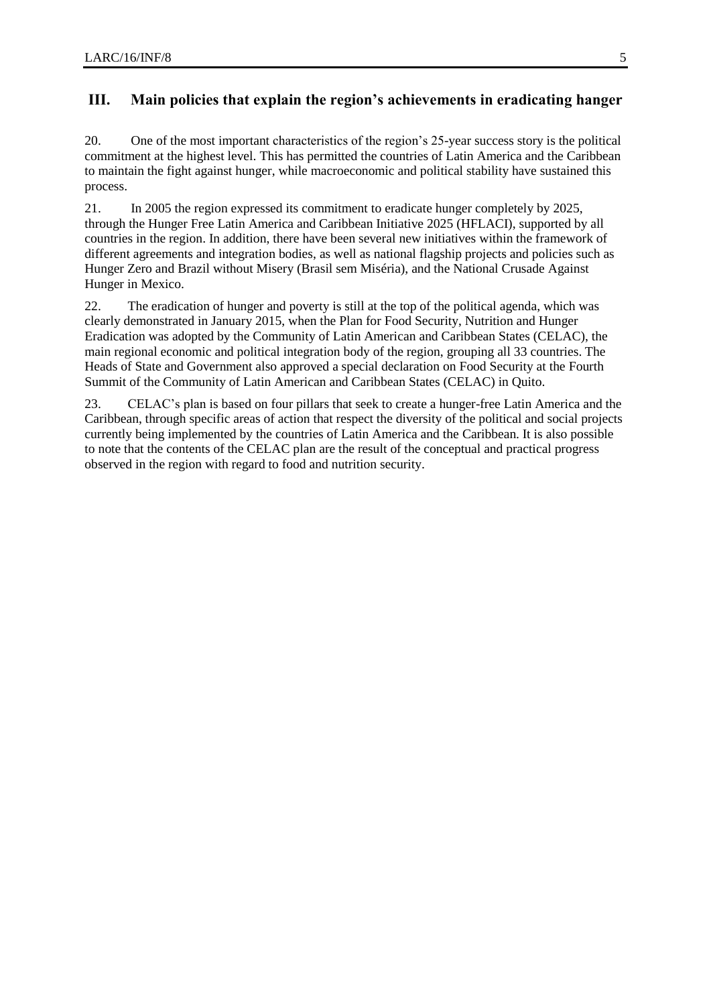#### **III. Main policies that explain the region's achievements in eradicating hanger**

20. One of the most important characteristics of the region's 25-year success story is the political commitment at the highest level. This has permitted the countries of Latin America and the Caribbean to maintain the fight against hunger, while macroeconomic and political stability have sustained this process.

21. In 2005 the region expressed its commitment to eradicate hunger completely by 2025, through the Hunger Free Latin America and Caribbean Initiative 2025 (HFLACI), supported by all countries in the region. In addition, there have been several new initiatives within the framework of different agreements and integration bodies, as well as national flagship projects and policies such as Hunger Zero and Brazil without Misery (Brasil sem Miséria), and the National Crusade Against Hunger in Mexico.

22. The eradication of hunger and poverty is still at the top of the political agenda, which was clearly demonstrated in January 2015, when the Plan for Food Security, Nutrition and Hunger Eradication was adopted by the Community of Latin American and Caribbean States (CELAC), the main regional economic and political integration body of the region, grouping all 33 countries. The Heads of State and Government also approved a special declaration on Food Security at the Fourth Summit of the Community of Latin American and Caribbean States (CELAC) in Quito.

23. CELAC's plan is based on four pillars that seek to create a hunger-free Latin America and the Caribbean, through specific areas of action that respect the diversity of the political and social projects currently being implemented by the countries of Latin America and the Caribbean. It is also possible to note that the contents of the CELAC plan are the result of the conceptual and practical progress observed in the region with regard to food and nutrition security.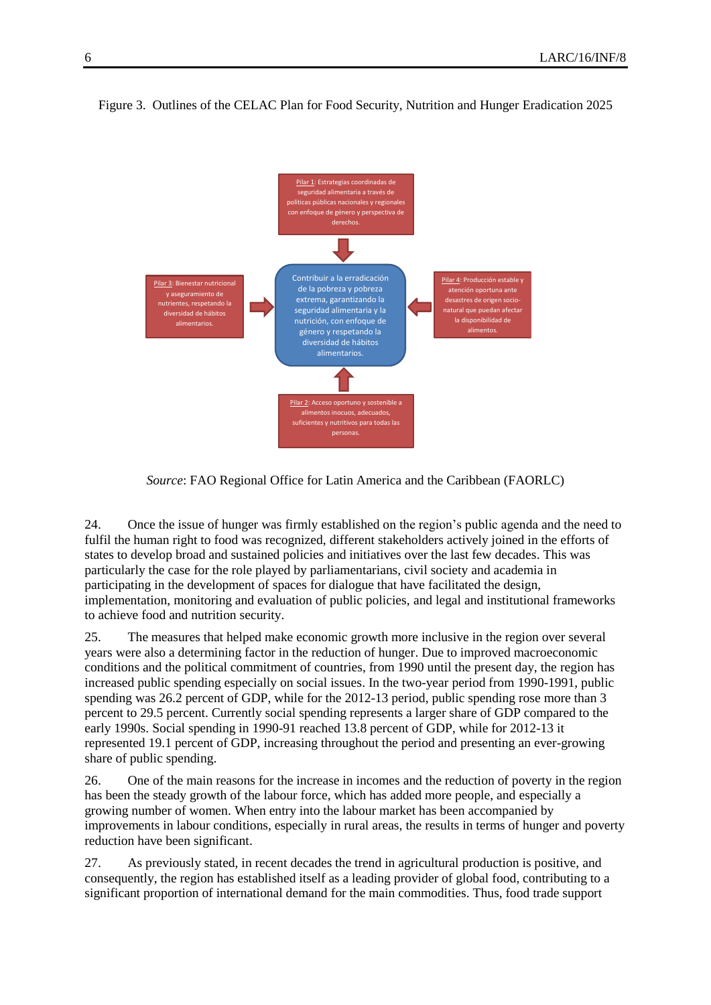

Figure 3. Outlines of the CELAC Plan for Food Security, Nutrition and Hunger Eradication 2025

*Source*: FAO Regional Office for Latin America and the Caribbean (FAORLC)

24. Once the issue of hunger was firmly established on the region's public agenda and the need to fulfil the human right to food was recognized, different stakeholders actively joined in the efforts of states to develop broad and sustained policies and initiatives over the last few decades. This was particularly the case for the role played by parliamentarians, civil society and academia in participating in the development of spaces for dialogue that have facilitated the design, implementation, monitoring and evaluation of public policies, and legal and institutional frameworks to achieve food and nutrition security.

25. The measures that helped make economic growth more inclusive in the region over several years were also a determining factor in the reduction of hunger. Due to improved macroeconomic conditions and the political commitment of countries, from 1990 until the present day, the region has increased public spending especially on social issues. In the two-year period from 1990-1991, public spending was 26.2 percent of GDP, while for the 2012-13 period, public spending rose more than 3 percent to 29.5 percent. Currently social spending represents a larger share of GDP compared to the early 1990s. Social spending in 1990-91 reached 13.8 percent of GDP, while for 2012-13 it represented 19.1 percent of GDP, increasing throughout the period and presenting an ever-growing share of public spending.

26. One of the main reasons for the increase in incomes and the reduction of poverty in the region has been the steady growth of the labour force, which has added more people, and especially a growing number of women. When entry into the labour market has been accompanied by improvements in labour conditions, especially in rural areas, the results in terms of hunger and poverty reduction have been significant.

27. As previously stated, in recent decades the trend in agricultural production is positive, and consequently, the region has established itself as a leading provider of global food, contributing to a significant proportion of international demand for the main commodities. Thus, food trade support